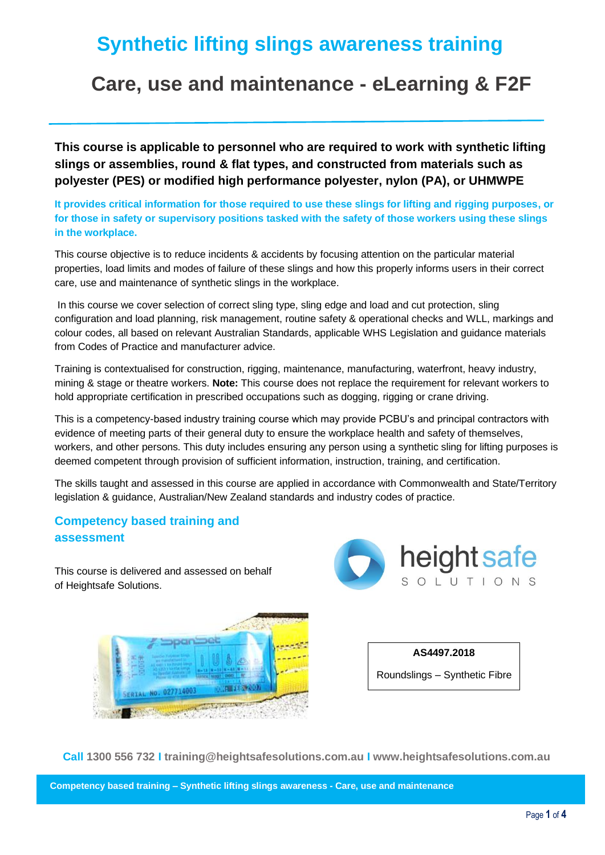# **Synthetic lifting slings awareness training**

# **Care, use and maintenance - eLearning & F2F**

**This course is applicable to personnel who are required to work with synthetic lifting slings or assemblies, round & flat types, and constructed from materials such as polyester (PES) or modified high performance polyester, nylon (PA), or UHMWPE**

**It provides critical information for those required to use these slings for lifting and rigging purposes, or for those in safety or supervisory positions tasked with the safety of those workers using these slings in the workplace.**

This course objective is to reduce incidents & accidents by focusing attention on the particular material properties, load limits and modes of failure of these slings and how this properly informs users in their correct care, use and maintenance of synthetic slings in the workplace.

In this course we cover selection of correct sling type, sling edge and load and cut protection, sling configuration and load planning, risk management, routine safety & operational checks and WLL, markings and colour codes, all based on relevant Australian Standards, applicable WHS Legislation and guidance materials from Codes of Practice and manufacturer advice.

Training is contextualised for construction, rigging, maintenance, manufacturing, waterfront, heavy industry, mining & stage or theatre workers. **Note:** This course does not replace the requirement for relevant workers to hold appropriate certification in prescribed occupations such as dogging, rigging or crane driving.

This is a competency-based industry training course which may provide PCBU's and principal contractors with evidence of meeting parts of their general duty to ensure the workplace health and safety of themselves, workers, and other persons. This duty includes ensuring any person using a synthetic sling for lifting purposes is deemed competent through provision of sufficient information, instruction, training, and certification.

The skills taught and assessed in this course are applied in accordance with Commonwealth and State/Territory legislation & guidance, Australian/New Zealand standards and industry codes of practice.

# **Competency based training and assessment**

This course is delivered and assessed on behalf of Heightsafe Solutions.







**Call 1300 556 732 I training@heightsafesolutions.com.au I www.heightsafesolutions.com.au**

**Competency based training – Synthetic lifting slings awareness - Care, use and maintenance**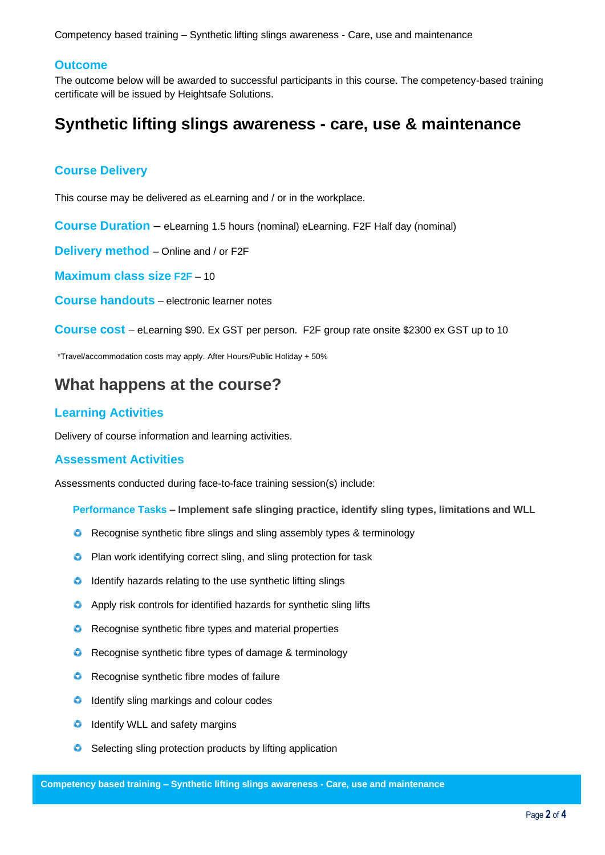Competency based training – Synthetic lifting slings awareness - Care, use and maintenance

# **Outcome**

The outcome below will be awarded to successful participants in this course. The competency-based training certificate will be issued by Heightsafe Solutions.

# **Synthetic lifting slings awareness - care, use & maintenance**

## **Course Delivery**

This course may be delivered as eLearning and / or in the workplace.

**Course Duration** – eLearning 1.5 hours (nominal) eLearning. F2F Half day (nominal)

**Delivery method** – Online and / or F2F

**Maximum class size F2F** – 10

**Course handouts** – electronic learner notes

**Course cost** – eLearning \$90. Ex GST per person. F2F group rate onsite \$2300 ex GST up to 10

\*Travel/accommodation costs may apply. After Hours/Public Holiday + 50%

# **What happens at the course?**

### **Learning Activities**

Delivery of course information and learning activities.

#### **Assessment Activities**

Assessments conducted during face-to-face training session(s) include:

**Performance Tasks – Implement safe slinging practice, identify sling types, limitations and WLL** 

- **C** Recognise synthetic fibre slings and sling assembly types & terminology
- **C** Plan work identifying correct sling, and sling protection for task
- **O** Identify hazards relating to the use synthetic lifting slings
- **O** Apply risk controls for identified hazards for synthetic sling lifts
- **C** Recognise synthetic fibre types and material properties
- **C** Recognise synthetic fibre types of damage & terminology
- **C** Recognise synthetic fibre modes of failure
- **O** Identify sling markings and colour codes
- **O** Identify WLL and safety margins
- **Selecting sling protection products by lifting application**

**Competency based training – Synthetic lifting slings awareness - Care, use and maintenance**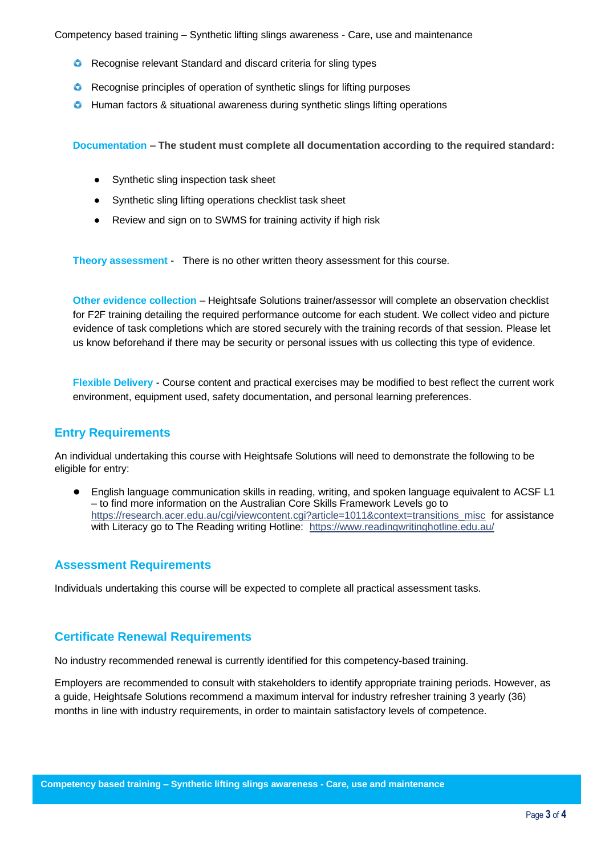Competency based training – Synthetic lifting slings awareness - Care, use and maintenance

- **C** Recognise relevant Standard and discard criteria for sling types
- **C** Recognise principles of operation of synthetic slings for lifting purposes
- **C** Human factors & situational awareness during synthetic slings lifting operations

**Documentation – The student must complete all documentation according to the required standard:**

- Synthetic sling inspection task sheet
- Synthetic sling lifting operations checklist task sheet
- Review and sign on to SWMS for training activity if high risk

**Theory assessment** - There is no other written theory assessment for this course.

**Other evidence collection** – Heightsafe Solutions trainer/assessor will complete an observation checklist for F2F training detailing the required performance outcome for each student. We collect video and picture evidence of task completions which are stored securely with the training records of that session. Please let us know beforehand if there may be security or personal issues with us collecting this type of evidence.

**Flexible Delivery** - Course content and practical exercises may be modified to best reflect the current work environment, equipment used, safety documentation, and personal learning preferences.

# **Entry Requirements**

An individual undertaking this course with Heightsafe Solutions will need to demonstrate the following to be eligible for entry:

● English language communication skills in reading, writing, and spoken language equivalent to ACSF L1 – to find more information on the Australian Core Skills Framework Levels go to https://research.acer.edu.au/cgi/viewcontent.cgi?article=1011&context=transitions\_misc\_for assistance with Literacy go to The Reading writing Hotline: <https://www.readingwritinghotline.edu.au/>

# **Assessment Requirements**

Individuals undertaking this course will be expected to complete all practical assessment tasks.

# **Certificate Renewal Requirements**

No industry recommended renewal is currently identified for this competency-based training.

Employers are recommended to consult with stakeholders to identify appropriate training periods. However, as a guide, Heightsafe Solutions recommend a maximum interval for industry refresher training 3 yearly (36) months in line with industry requirements, in order to maintain satisfactory levels of competence.